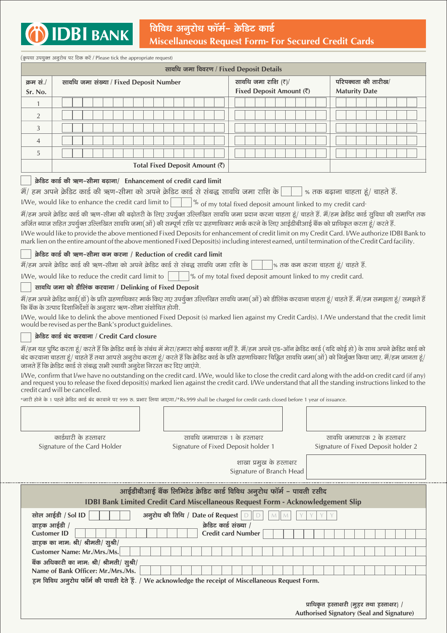

| (कृपया उपयुक्त अनुरोध पर टिक करें / Please tick the appropriate request)<br>सावधि जमा विवरण / Fixed Deposit Details                                                                                                                                                                                                                                                                                                                                                                                                                                                                                                                                                                                                                                                                                                                                                                                                                                                                                                                                                                                                                                                                                                                                                                                                                                                                                                                                                                                                                                                                                                                                                                                                                                                                                                                                                                                                                                                                                                                                                                                                                                                                                                                                                                                                                                                                                                                                                                                                                                                                                                                                                                                                     |                                         |  |  |  |  |  |  |  |  |                                                 |  |  |  |  |                                                                                                                                                               |  |  |  |  |                                                      |  |  |  |  |  |  |  |  |  |  |  |                                                                                          |  |  |  |
|-------------------------------------------------------------------------------------------------------------------------------------------------------------------------------------------------------------------------------------------------------------------------------------------------------------------------------------------------------------------------------------------------------------------------------------------------------------------------------------------------------------------------------------------------------------------------------------------------------------------------------------------------------------------------------------------------------------------------------------------------------------------------------------------------------------------------------------------------------------------------------------------------------------------------------------------------------------------------------------------------------------------------------------------------------------------------------------------------------------------------------------------------------------------------------------------------------------------------------------------------------------------------------------------------------------------------------------------------------------------------------------------------------------------------------------------------------------------------------------------------------------------------------------------------------------------------------------------------------------------------------------------------------------------------------------------------------------------------------------------------------------------------------------------------------------------------------------------------------------------------------------------------------------------------------------------------------------------------------------------------------------------------------------------------------------------------------------------------------------------------------------------------------------------------------------------------------------------------------------------------------------------------------------------------------------------------------------------------------------------------------------------------------------------------------------------------------------------------------------------------------------------------------------------------------------------------------------------------------------------------------------------------------------------------------------------------------------------------|-----------------------------------------|--|--|--|--|--|--|--|--|-------------------------------------------------|--|--|--|--|---------------------------------------------------------------------------------------------------------------------------------------------------------------|--|--|--|--|------------------------------------------------------|--|--|--|--|--|--|--|--|--|--|--|------------------------------------------------------------------------------------------|--|--|--|
| क्रम सं./<br>Sr. No.                                                                                                                                                                                                                                                                                                                                                                                                                                                                                                                                                                                                                                                                                                                                                                                                                                                                                                                                                                                                                                                                                                                                                                                                                                                                                                                                                                                                                                                                                                                                                                                                                                                                                                                                                                                                                                                                                                                                                                                                                                                                                                                                                                                                                                                                                                                                                                                                                                                                                                                                                                                                                                                                                                    | सावधि जमा संख्या / Fixed Deposit Number |  |  |  |  |  |  |  |  | सावधि जमा राशि (₹)/<br>Fixed Deposit Amount (₹) |  |  |  |  |                                                                                                                                                               |  |  |  |  | परिपक्वता की तारीख/<br><b>Maturity Date</b>          |  |  |  |  |  |  |  |  |  |  |  |                                                                                          |  |  |  |
| $\mathbf{1}$                                                                                                                                                                                                                                                                                                                                                                                                                                                                                                                                                                                                                                                                                                                                                                                                                                                                                                                                                                                                                                                                                                                                                                                                                                                                                                                                                                                                                                                                                                                                                                                                                                                                                                                                                                                                                                                                                                                                                                                                                                                                                                                                                                                                                                                                                                                                                                                                                                                                                                                                                                                                                                                                                                            |                                         |  |  |  |  |  |  |  |  |                                                 |  |  |  |  |                                                                                                                                                               |  |  |  |  |                                                      |  |  |  |  |  |  |  |  |  |  |  |                                                                                          |  |  |  |
| $\overline{2}$                                                                                                                                                                                                                                                                                                                                                                                                                                                                                                                                                                                                                                                                                                                                                                                                                                                                                                                                                                                                                                                                                                                                                                                                                                                                                                                                                                                                                                                                                                                                                                                                                                                                                                                                                                                                                                                                                                                                                                                                                                                                                                                                                                                                                                                                                                                                                                                                                                                                                                                                                                                                                                                                                                          |                                         |  |  |  |  |  |  |  |  |                                                 |  |  |  |  |                                                                                                                                                               |  |  |  |  |                                                      |  |  |  |  |  |  |  |  |  |  |  |                                                                                          |  |  |  |
| 3                                                                                                                                                                                                                                                                                                                                                                                                                                                                                                                                                                                                                                                                                                                                                                                                                                                                                                                                                                                                                                                                                                                                                                                                                                                                                                                                                                                                                                                                                                                                                                                                                                                                                                                                                                                                                                                                                                                                                                                                                                                                                                                                                                                                                                                                                                                                                                                                                                                                                                                                                                                                                                                                                                                       |                                         |  |  |  |  |  |  |  |  |                                                 |  |  |  |  |                                                                                                                                                               |  |  |  |  |                                                      |  |  |  |  |  |  |  |  |  |  |  |                                                                                          |  |  |  |
| 4                                                                                                                                                                                                                                                                                                                                                                                                                                                                                                                                                                                                                                                                                                                                                                                                                                                                                                                                                                                                                                                                                                                                                                                                                                                                                                                                                                                                                                                                                                                                                                                                                                                                                                                                                                                                                                                                                                                                                                                                                                                                                                                                                                                                                                                                                                                                                                                                                                                                                                                                                                                                                                                                                                                       |                                         |  |  |  |  |  |  |  |  |                                                 |  |  |  |  |                                                                                                                                                               |  |  |  |  |                                                      |  |  |  |  |  |  |  |  |  |  |  |                                                                                          |  |  |  |
| 5                                                                                                                                                                                                                                                                                                                                                                                                                                                                                                                                                                                                                                                                                                                                                                                                                                                                                                                                                                                                                                                                                                                                                                                                                                                                                                                                                                                                                                                                                                                                                                                                                                                                                                                                                                                                                                                                                                                                                                                                                                                                                                                                                                                                                                                                                                                                                                                                                                                                                                                                                                                                                                                                                                                       |                                         |  |  |  |  |  |  |  |  |                                                 |  |  |  |  |                                                                                                                                                               |  |  |  |  |                                                      |  |  |  |  |  |  |  |  |  |  |  |                                                                                          |  |  |  |
|                                                                                                                                                                                                                                                                                                                                                                                                                                                                                                                                                                                                                                                                                                                                                                                                                                                                                                                                                                                                                                                                                                                                                                                                                                                                                                                                                                                                                                                                                                                                                                                                                                                                                                                                                                                                                                                                                                                                                                                                                                                                                                                                                                                                                                                                                                                                                                                                                                                                                                                                                                                                                                                                                                                         |                                         |  |  |  |  |  |  |  |  |                                                 |  |  |  |  |                                                                                                                                                               |  |  |  |  |                                                      |  |  |  |  |  |  |  |  |  |  |  |                                                                                          |  |  |  |
| Total Fixed Deposit Amount (₹)<br>क्रेडिट कार्ड की ऋण-सीमा बढ़ाना/ Enhancement of credit card limit<br>में/ हम अपने क्रेडिट कार्ड की ऋण-सीमा को अपने क्रेडिट कार्ड से संबद्ध सावधि जमा राशि के       % तक बढ़ाना चाहता हूं/ चाहते हैं.<br>I/We, would like to enhance the credit card limit to $\vert$<br>$\Box$ % of my total fixed deposit amount linked to my credit card-<br>मैं/हम अपने क्रेडिट कार्ड की ऋण-सीमा की बढ़ोतरी के लिए उपर्युक्त उल्लिखित सावधि जमा प्रदान करना चाहता हूं/ चाहते हैं. मैं/हम क्रेडिट कार्ड सुविधा की समाप्ति तक<br>अर्जित ब्याज सहित उपर्युक्त उल्लिखित सावधि जमा(ओं) की सम्पूर्ण राशि पर ग्रहणाधिकार मार्क करने के लिए आईडीबीआई बैंक को प्राधिकृत करता हूं/ करते हैं.<br>I/We would like to provide the above mentioned Fixed Deposits for enhancement of credit limit on my Credit Card. I/We authorize IDBI Bank to<br>mark lien on the entire amount of the above mentioned Fixed Deposit(s) including interest earned, until termination of the Credit Card facility.<br>क्रेडिट कार्ड की ऋण-सीमा कम करना / Reduction of credit card limit<br>में/हम अपने क्रेडिट कार्ड की ऋण-सीमा को अपने क्रेडिट कार्ड से संबद्ध सावधि जमा राशि के<br>$ %$ तक कम करना चाहता हूं/ चाहते हैं.<br>I/We, would like to reduce the credit card limit to $\vert$<br>$\%$ of my total fixed deposit amount linked to my credit card.<br>a sa T<br>सावधि जमा को डीलिंक करवाना / Delinking of Fixed Deposit<br>मैं/हम अपने क्रेडिट कार्ड(डों) के प्रति ग्रहणाधिकार मार्क किए गए उपर्युक्त उल्लिखित सावधि जमा(ओं) को डीलिंक करवाना चाहता हूं/ चाहते हैं. मैं/हम समझता हूं/ समझते हैं<br>कि बैंक के उत्पाद दिशानिर्देशों के अनुसार ऋण-सीमा संशोधित होगी.<br>I/We, would like to delink the above mentioned Fixed Deposit (s) marked lien against my Credit Card(s). I/We understand that the credit limit<br>would be revised as per the Bank's product guidelines.<br>क्रेडिट कार्ड बंद करवाना / Credit Card closure<br>में/हम यह पुष्टि करता हूं/ करते हैं कि क्रेडिट कार्ड के संबंध में मेरा/हमारा कोई बकाया नहीं है. मैं/हम अपने क्रेडिट कार्ड (यदि कोई हो) के साथ अपने क्रेडिट कार्ड को<br>बंद करवाना चाहता हूं/ चाहते हैं तथा आपसे अनुरोध करता हूं/ करते हैं कि क्रेडिट कार्ड के प्रति ग्रहणाधिकार चिह्नित सावधि जमा(ओं) को निर्मुक्त किया जाए. मैं/हम जानता हूं/<br>जानते हैं कि क्रेडिट कार्ड से संबद्ध सभी स्थायी अनुदेश निरस्त कर दिए जाएंगे.<br>I/We, confirm that I/we have no outstanding on the credit card. I/We, would like to close the credit card along with the add-on credit card (if any)<br>and request you to release the fixed deposit(s) marked lien against the credit card. I/We understand that all the standing instructions linked to the<br>credit card will be cancelled. |                                         |  |  |  |  |  |  |  |  |                                                 |  |  |  |  |                                                                                                                                                               |  |  |  |  |                                                      |  |  |  |  |  |  |  |  |  |  |  |                                                                                          |  |  |  |
| *जारी होने के 1 पहले क्रेडिट कार्ड बंद करवाने पर 999 रु. प्रभार लिया जाएगा./*Rs.999 shall be charged for credit cards closed before 1 year of issuance.<br>Signature of the Card Holder                                                                                                                                                                                                                                                                                                                                                                                                                                                                                                                                                                                                                                                                                                                                                                                                                                                                                                                                                                                                                                                                                                                                                                                                                                                                                                                                                                                                                                                                                                                                                                                                                                                                                                                                                                                                                                                                                                                                                                                                                                                                                                                                                                                                                                                                                                                                                                                                                                                                                                                                 | कार्डधारी के हस्ताक्षर                  |  |  |  |  |  |  |  |  |                                                 |  |  |  |  | सावधि जमाधारक 1 के हस्ताक्षर<br>Signature of Fixed Deposit holder 1                                                                                           |  |  |  |  |                                                      |  |  |  |  |  |  |  |  |  |  |  | सावधि जमाधारक 2 के हस्ताक्षर<br>Signature of Fixed Deposit holder 2                      |  |  |  |
|                                                                                                                                                                                                                                                                                                                                                                                                                                                                                                                                                                                                                                                                                                                                                                                                                                                                                                                                                                                                                                                                                                                                                                                                                                                                                                                                                                                                                                                                                                                                                                                                                                                                                                                                                                                                                                                                                                                                                                                                                                                                                                                                                                                                                                                                                                                                                                                                                                                                                                                                                                                                                                                                                                                         |                                         |  |  |  |  |  |  |  |  |                                                 |  |  |  |  |                                                                                                                                                               |  |  |  |  | शाखा प्रमुख के हस्ताक्षर<br>Signature of Branch Head |  |  |  |  |  |  |  |  |  |  |  |                                                                                          |  |  |  |
|                                                                                                                                                                                                                                                                                                                                                                                                                                                                                                                                                                                                                                                                                                                                                                                                                                                                                                                                                                                                                                                                                                                                                                                                                                                                                                                                                                                                                                                                                                                                                                                                                                                                                                                                                                                                                                                                                                                                                                                                                                                                                                                                                                                                                                                                                                                                                                                                                                                                                                                                                                                                                                                                                                                         |                                         |  |  |  |  |  |  |  |  |                                                 |  |  |  |  | आईडीबीआई बैंक लिमिटेड क्रेडिट कार्ड विविध अनूरोध फॉर्म - पावती रसीद<br><b>IDBI Bank Limited Credit Card Miscellaneous Request Form - Acknowledgement Slip</b> |  |  |  |  |                                                      |  |  |  |  |  |  |  |  |  |  |  |                                                                                          |  |  |  |
| सोल आईडी / Sol ID<br>ग्राहक आईडी /<br><b>Customer ID</b><br>ग्राहक का नाम: श्री/ श्रीमती/ सुश्री/<br>Customer Name: Mr./Mrs./Ms.<br>बैंक अधिकारी का नाम: श्री/ श्रीमती/ सुश्री/<br>Name of Bank Officer: Mr./Mrs./Ms.<br>हम विविध अनुरोध फॉर्म की पावती देते हैं. / We acknowledge the receipt of Miscellaneous Request Form.                                                                                                                                                                                                                                                                                                                                                                                                                                                                                                                                                                                                                                                                                                                                                                                                                                                                                                                                                                                                                                                                                                                                                                                                                                                                                                                                                                                                                                                                                                                                                                                                                                                                                                                                                                                                                                                                                                                                                                                                                                                                                                                                                                                                                                                                                                                                                                                           |                                         |  |  |  |  |  |  |  |  |                                                 |  |  |  |  | अनुरोध की तिथि / Date of Request<br>क्रेडिट कार्ड संख्या /<br><b>Credit card Number</b>                                                                       |  |  |  |  |                                                      |  |  |  |  |  |  |  |  |  |  |  | प्राधिकृत हस्ताक्षरी (मुहर तथा हस्ताक्षर) /<br>Authorised Signatory (Seal and Signature) |  |  |  |